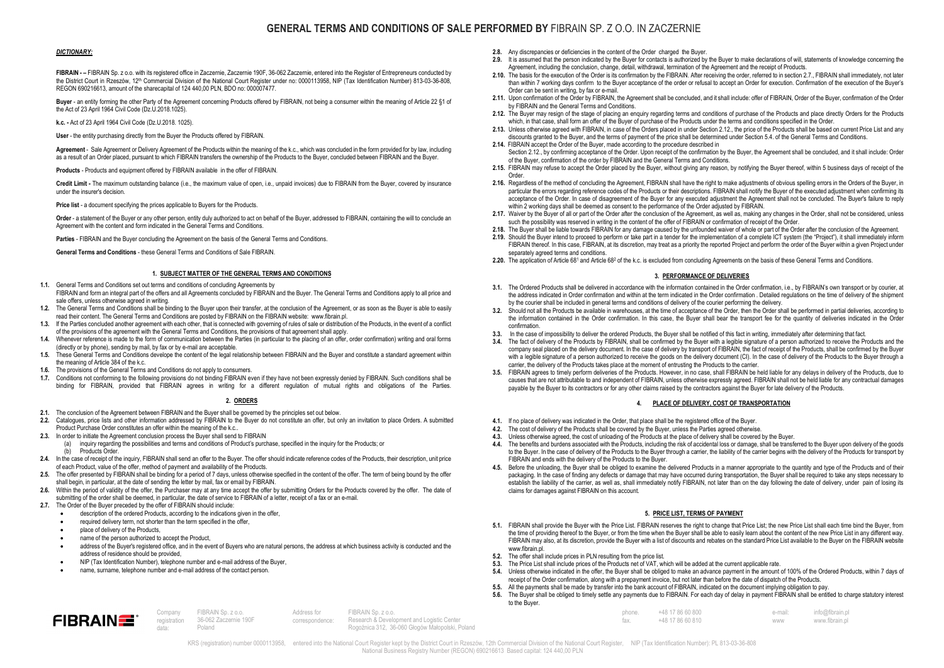# GENERAL TERMS AND CONDITIONS OF SALE PERFORMED BY FIBRAIN SP. Z O.O. IN ZACZERNIE

## DICTIONARY:

FIBRAIN - – FIBRAIN Sp. z o.o. with its registered office in Zaczernie, Zaczernie 190F, 36-062 Zaczernie, entered into the Register of Entrepreneurs conducted by the District Court in Rzeszów, 12<sup>th</sup> Commercial Division of the National Court Register under no: 0000113958, NIP (Tax Identification Number) 813-03-36-808. REGON 690216613, amount of the sharecapital of 124 440,00 PLN, BDO no: 000007477.

Buyer - an entity forming the other Party of the Agreement concerning Products offered by FIBRAIN, not being a consumer within the meaning of Article 22 §1 of the Act of 23 April 1964 Civil Code (Dz.U.2018.1025).

k.c. - Act of 23 April 1964 Civil Code (Dz.U.2018. 1025).

User - the entity purchasing directly from the Buyer the Products offered by FIBRAIN.

Agreement - Sale Agreement or Delivery Agreement of the Products within the meaning of the k.c., which was concluded in the form provided for by law, including as a result of an Order placed, pursuant to which FIBRAIN transfers the ownership of the Products to the Buyer, concluded between FIBRAIN and the Buyer.

Products - Products and equipment offered by FIBRAIN available in the offer of FIBRAIN.

Credit Limit - The maximum outstanding balance (i.e., the maximum value of open, i.e., unpaid invoices) due to FIBRAIN from the Buyer, covered by insurance under the insurer's decision.

Price list - a document specifying the prices applicable to Buyers for the Products.

Order - a statement of the Buyer or any other person, entity duly authorized to act on behalf of the Buyer, addressed to FIBRAIN, containing the will to conclude an Agreement with the content and form indicated in the General Terms and Conditions.

Parties - FIBRAIN and the Buyer concluding the Agreement on the basis of the General Terms and Conditions.

General Terms and Conditions - these General Terms and Conditions of Sale FIBRAIN.

#### 1. SUBJECT MATTER OF THE GENERAL TERMS AND CONDITIONS

- 1.1. General Terms and Conditions set out terms and conditions of concluding Agreements by FIBRAIN and form an integral part of the offers and all Agreements concluded by FIBRAIN and the Buyer. The General Terms and Conditions apply to all price and sale offers, unless otherwise agreed in writing.
- 1.2. The General Terms and Conditions shall be binding to the Buyer upon their transfer, at the conclusion of the Agreement, or as soon as the Buyer is able to easily read their content. The General Terms and Conditions are posted by FIBRAIN on the FIBRAIN website: www.fibrain.pl.
- 1.3. If the Parties concluded another agreement with each other, that is connected with governing of rules of sale or distribution of the Products, in the event of a conflict of the provisions of the agreement with the General Terms and Conditions, the provisions of that agreement shall apply.
- 1.4. Whenever reference is made to the form of communication between the Parties (in particular to the placing of an offer, order confirmation) writing and oral forms (directly or by phone), sending by mail, by fax or by e-mail are acceptable.
- 1.5. These General Terms and Conditions develope the content of the legal relationship between FIBRAIN and the Buyer and constitute a standard agreement within the meaning of Article 384 of the k.c.
- 1.6. The provisions of the General Terms and Conditions do not apply to consumers.<br>17. Conditions not conforming to the following provisions do not binding EIRRAIN ev
- 1.7. Conditions not conforming to the following provisions do not binding FIBRAIN even if they have not been expressly denied by FIBRAIN. Such conditions shall be binding for FIBRAIN, provided that FIBRAIN agrees in writing for a different regulation of mutual rights and obligations of the Parties.

#### 2. ORDERS

- 2.1. The conclusion of the Agreement between FIBRAIN and the Buyer shall be governed by the principles set out below.
- 2.2. Catalogues, price lists and other information addressed by FIBRAIN to the Buyer do not constitute an offer, but only an invitation to place Orders. A submitted Product Purchase Order constitutes an offer within the meaning of the k.c..
- 2.3. In order to initiate the Agreement conclusion process the Buyer shall send to FIBRAIN
	- (a) inquiry regarding the possibilities and terms and conditions of Product's purchase, specified in the inquiry for the Products; or
	- (b) Products Order.
- 2.4. In the case of receipt of the inquiry, FIBRAIN shall send an offer to the Buyer. The offer should indicate reference codes of the Products, their description, unit price of each Product, value of the offer, method of payment and availability of the Products.
- 2.5. The offer presented by FIBRAIN shall be binding for a period of 7 days, unless otherwise specified in the content of the offer. The term of being bound by the offer shall begin, in particular, at the date of sending the letter by mail, fax or email by FIBRAIN.
- 2.6. Within the period of validity of the offer, the Purchaser may at any time accept the offer by submitting Orders for the Products covered by the offer. The date of submitting of the order shall be deemed, in particular, the date of service to FIBRAIN of a letter, receipt of a fax or an e-mail.
- 2.7. The Order of the Buyer preceded by the offer of FIBRAIN should include:
	- description of the ordered Products, according to the indications given in the offer,
	- required delivery term, not shorter than the term specified in the offer,
	- place of delivery of the Products,

 $FIBRAIN \equiv$ 

- name of the person authorized to accept the Product,
- address of the Buyer's registered office, and in the event of Buyers who are natural persons, the address at which business activity is conducted and the address of residence should be provided,
- NIP (Tax Identification Number), telephone number and e-mail address of the Buyer,
- name, surname, telephone number and e-mail address of the contact person.

Company registration data:

- 2.8. Any discrepancies or deficiencies in the content of the Order charged the Buyer.
- 2.9. It is assumed that the person indicated by the Buyer for contacts is authorized by the Buyer to make declarations of will, statements of knowledge concerning the Agreement, including the conclusion, change, detail, withdrawal, termination of the Agreement and the receipt of Products.
- 2.10. The basis for the execution of the Order is its confirmation by the FIBRAIN. After receiving the order, referred to in section 2.7., FIBRAIN shall immediately, not later than within 7 working days confirm to the Buyer acceptance of the order or refusal to accept an Order for execution. Confirmation of the execution of the Buyer's Order can be sent in writing, by fax or e-mail.
- 2.11. Upon confirmation of the Order by FIBRAIN, the Agreement shall be concluded, and it shall include: offer of FIBRAIN, Order of the Buyer, confirmation of the Order by FIBRAIN and the General Terms and Conditions.
- 2.12. The Buyer may resign of the stage of placing an enquiry regarding terms and conditions of purchase of the Products and place directly Orders for the Products which, in that case, shall form an offer of the Buyer of purchase of the Products under the terms and conditions specified in the Order.
- 2.13. Unless otherwise agreed with FIBRAIN, in case of the Orders placed in under Section 2.12., the price of the Products shall be based on current Price List and any discounts granted to the Buyer, and the terms of payment of the price shall be determined under Section 5.4. of the General Terms and Conditions.
- 2.14. FIBRAIN accept the Order of the Buyer, made according to the procedure described in Section 2.12., by confirming acceptance of the Order. Upon receipt of the confirmation by the Buyer, the Agreement shall be concluded, and it shall include: Order of the Buyer, confirmation of the order by FIBRAIN and the General Terms and Conditions.
- 2.15. FIBRAIN may refuse to accept the Order placed by the Buyer, without giving any reason, by notifying the Buyer thereof, within 5 business days of receipt of the
- Order. 2.16. Regardless of the method of concluding the Agreement, FIBRAIN shall have the right to make adjustments of obvious spelling errors in the Orders of the Buyer, in particular the errors regarding reference codes of the Products or their descriptions. FIBRAIN shall notify the Buyer of the executed adjustment when confirming its acceptance of the Order. In case of disagreement of the Buyer for any executed adjustment the Agreement shall not be concluded. The Buyer's failure to reply within 2 working days shall be deemed as consent to the performance of the Order adjusted by FIBRAIN.
- 2.17. Waiver by the Buyer of all or part of the Order after the conclusion of the Agreement, as well as, making any changes in the Order, shall not be considered, unless such the possibility was reserved in writing in the content of the offer of FIBRAIN or confirmation of receipt of the Order.
- 2.18. The Buyer shall be liable towards FIBRAIN for any damage caused by the unfounded waiver of whole or part of the Order after the conclusion of the Agreement.
- 2.19. Should the Buyer intend to proceed to perform or take part in a tender for the implementation of a complete ICT system (the "Project"), it shall immediately inform FIBRAIN thereof. In this case, FIBRAIN, at its discretion, may treat as a priority the reported Project and perform the order of the Buyer within a given Project under separately agreed terms and conditions.
- 2.20. The application of Article 681 and Article 68º of the k.c. is excluded from concluding Agreements on the basis of these General Terms and Conditions.

## 3. PERFORMANCE OF DELIVERIES

- 3.1. The Ordered Products shall be delivered in accordance with the information contained in the Order confirmation, i.e., by FIBRAIN's own transport or by courier, at the address indicated in Order confirmation and within at the term indicated in the Order confirmation . Detailed regulations on the time of delivery of the shipment by the courier shall be included in general terms and conditions of delivery of the courier performing the delivery.
- 3.2. Should not all the Products be available in warehouses, at the time of acceptance of the Order, then the Order shall be performed in partial deliveries, according to the information contained in the Order confirmation. In this case, the Buyer shall bear the transport fee for the quantity of deliveries indicated in the Order confirmation.
- In the case of impossibility to deliver the ordered Products, the Buyer shall be notified of this fact in writing, immediately after determining that fact.
- 3.4. The fact of delivery of the Products by FIBRAIN, shall be confirmed by the Buyer with a legible signature of a person authorized to receive the Products and the company seal placed on the delivery document. In the case of delivery by transport of FIBRAIN, the fact of receipt of the Products, shall be confirmed by the Buyer with a legible signature of a person authorized to receive the goods on the delivery document (CI). In the case of delivery of the Products to the Buyer through a carrier, the delivery of the Products takes place at the moment of entrusting the Products to the carrier.
- 3.5. FIBRAIN agrees to timely perform deliveries of the Products. However, in no case, shall FIBRAIN be held liable for any delays in delivery of the Products, due to causes that are not attributable to and independent of FIBRAIN, unless otherwise expressly agreed. FIBRAIN shall not be held liable for any contractual damages payable by the Buyer to its contractors or for any other claims raised by the contractors against the Buyer for late delivery of the Products.

## 4. PLACE OF DELIVERY, COST OF TRANSPORTATION

- 4.1. If no place of delivery was indicated in the Order, that place shall be the registered office of the Buyer.
- 4.2. The cost of delivery of the Products shall be covered by the Buyer, unless the Parties agreed otherwise.
- 4.3. Unless otherwise agreed, the cost of unloading of the Products at the place of delivery shall be covered by the Buyer.
- 4.4. The benefits and burdens associated with the Products, including the risk of accidental loss or damage, shall be transferred to the Buyer upon delivery of the goods to the Buyer. In the case of delivery of the Products to the Buyer through a carrier, the liability of the carrier begins with the delivery of the Products for transport by FIBRAIN and ends with the delivery of the Products to the Buyer.
- 4.5. Before the unloading, the Buyer shall be obliged to examine the delivered Products in a manner appropriate to the quantity and type of the Products and of their packaging. In the case of finding any defects or damage that may have occurred during transportation, the Buyer shall be required to take any steps necessary to establish the liability of the carrier, as well as, shall immediately notify FIBRAIN, not later than on the day following the date of delivery, under pain of losing its claims for damages against FIBRAIN on this account.

# 5. PRICE LIST, TERMS OF PAYMENT

- 5.1. FIBRAIN shall provide the Buyer with the Price List. FIBRAIN reserves the right to change that Price List; the new Price List shall each time bind the Buyer, from the time of providing thereof to the Buyer, or from the time when the Buyer shall be able to easily learn about the content of the new Price List in any different way. FIBRAIN may also, at its discretion, provide the Buyer with a list of discounts and rebates on the standard Price List available to the Buyer on the FIBRAIN website www.fibrain.pl
- 5.2. The offer shall include prices in PLN resulting from the price list.
- 5.3. The Price List shall include prices of the Products net of VAT, which will be added at the current applicable rate.
- 5.4. Unless otherwise indicated in the offer, the Buyer shall be obliged to make an advance payment in the amount of 100% of the Ordered Products, within 7 days of receipt of the Order confirmation, along with a prepayment invoice, but not later than before the date of dispatch of the Products.
- 5.5. All the payments shall be made by transfer into the bank account of FIBRAIN, indicated on the document implying obligation to pay.
- 5.6. The Buyer shall be obliged to timely settle any payments due to FIBRAIN. For each day of delay in payment FIBRAIN shall be entitled to charge statutory interest to the Buyer.

| FIBRAIN Sp. z o.o.    | Address for FIBRAIN Sp. z o.o.                             | phone. +48 17 86 60 800 | e-mail:    | info@fibrain.pl |
|-----------------------|------------------------------------------------------------|-------------------------|------------|-----------------|
| 36-062 Zaczernie 190F | correspondence: Research & Development and Logistic Center | +48 17 86 60 810        | <b>WWW</b> | www.fibrain.pl  |
|                       | Rogoźnica 312. 36-060 Głogów Małopolski, Poland            |                         |            |                 |

KRS (registration) number 0000113958, entered into the National Court Register kept by the District Court in Rzeszów, 12th Commercial Division of the National Court Register. NIP (Tax Identification Number): PL 813-03-36-8 National Business Registry Number (REGON) 690216613 Based capital: 124 440,00 PLN